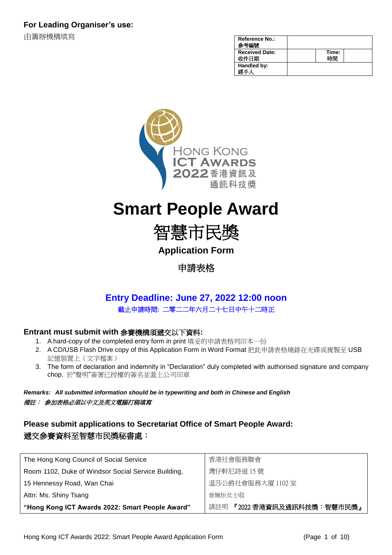由籌辦機構填寫

| <b>Reference No.:</b><br>編號   |             |  |
|-------------------------------|-------------|--|
| <b>Received Date:</b><br>收件日期 | Time:<br>間制 |  |
| Handled by:<br>經壬人            |             |  |



# **Smart People Award**

智慧市民獎

**Application Form**

申請表格

# **Entry Deadline: June 27, 2022 12:00 noon** 截止申請時間: 二零二二年六月二十七日中午十二時正

# **Entrant must submit with** 參賽機構須遞交以下資料**:**

- 1. A hard-copy of the completed entry form in print 填妥的申請表格列印本一份
- 2. A CD/USB Flash Drive copy of this Application Form in Word Format 把此申請表格燒錄在光碟或複製至 USB 記憶裝置上(文字檔案)
- 3. The form of declaration and indemnity in "Declaration" duly completed with authorised signature and company chop. 於"聲明"簽署已授權的簽名並蓋上公司印章

*Remarks: All submitted information should be in typewriting and both in Chinese and English*  備註: 參加表格必須以中文及英文電腦打稿填寫

# **Please submit applications to Secretariat Office of Smart People Award:** 遞交參賽資料至智慧市民獎秘書處:

| The Hong Kong Council of Social Service             | 香港社會服務聯會                        |  |
|-----------------------------------------------------|---------------------------------|--|
| Room 1102, Duke of Windsor Social Service Building, | 灣仔軒尼詩道 15號                      |  |
| 15 Hennessy Road, Wan Chai                          | 溫莎公爵社會服務大廈 1102室                |  |
| Attn: Ms. Shiny Tsang                               | 曾婉怡女士收                          |  |
| "Hong Kong ICT Awards 2022: Smart People Award"     | 請註明<br>│『2022 香港資訊及通訊科技獎:智慧市民獎』 |  |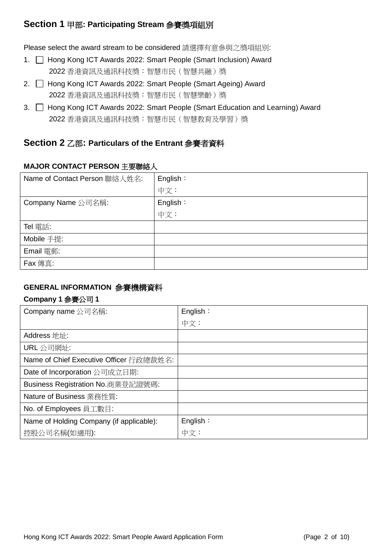# **Section 1** 甲部**: Participating Stream** 參賽獎項組別

Please select the award stream to be considered 請選擇有意參與之獎項組別:

- 1. Hong Kong ICT Awards 2022: Smart People (Smart Inclusion) Award 2022 香港資訊及通訊科技獎:智慧市民(智慧共融)獎
- 2. □ Hong Kong ICT Awards 2022: Smart People (Smart Ageing) Award 2022 香港資訊及通訊科技獎:智慧市民(智慧樂齡)獎
- 3. Hong Kong ICT Awards 2022: Smart People (Smart Education and Learning) Award 2022 香港資訊及通訊科技獎:智慧市民(智慧教育及學習)獎

# **Section 2** 乙部**: Particulars of the Entrant** 參賽者資料

### **MAJOR CONTACT PERSON** 主要聯絡人

| Name of Contact Person 聯絡人姓名: | English: |
|-------------------------------|----------|
|                               | 中文:      |
| Company Name 公司名稱:            | English: |
|                               | 中文:      |
| Tel 電話:                       |          |
| Mobile 手提:                    |          |
| Email 電郵:                     |          |
| Fax 傳真:                       |          |

# **GENERAL INFORMATION** 參賽機構資料

#### **Company 1** 參賽公司 **1**

| Company name 公司名稱:                       | English: |
|------------------------------------------|----------|
|                                          | 中文:      |
| Address 地址:                              |          |
| URL 公司網址:                                |          |
| Name of Chief Executive Officer 行政總裁姓名:  |          |
| Date of Incorporation 公司成立日期:            |          |
| Business Registration No.商業登記證號碼:        |          |
| Nature of Business 業務性質:                 |          |
| No. of Employees 員工數目:                   |          |
| Name of Holding Company (if applicable): | English: |
| 控股公司名稱(如適用):                             | 中文:      |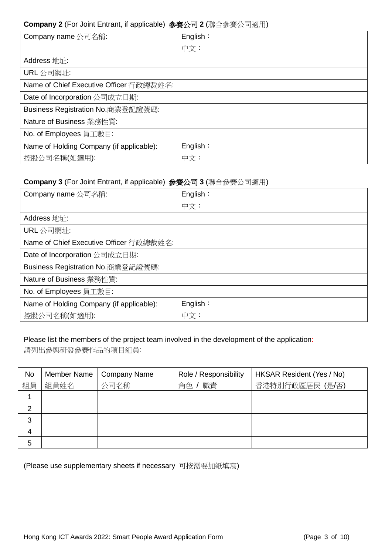#### **Company 2** (For Joint Entrant, if applicable) 參賽公司 **2** (聯合參賽公司適用)

| Company name 公司名稱:                       | English: |
|------------------------------------------|----------|
|                                          | 中文:      |
| Address 地址:                              |          |
| URL 公司網址:                                |          |
| Name of Chief Executive Officer 行政總裁姓名:  |          |
| Date of Incorporation 公司成立日期:            |          |
| Business Registration No.商業登記證號碼:        |          |
| Nature of Business 業務性質:                 |          |
| No. of Employees 員工數目:                   |          |
| Name of Holding Company (if applicable): | English: |
| 控股公司名稱(如適用):                             | 中文:      |

# **Company 3** (For Joint Entrant, if applicable) 參賽公司 **3** (聯合參賽公司適用)

| Company name 公司名稱:                       | English: |
|------------------------------------------|----------|
|                                          | 中文:      |
| Address 地址:                              |          |
| URL 公司網址:                                |          |
| Name of Chief Executive Officer 行政總裁姓名:  |          |
| Date of Incorporation 公司成立日期:            |          |
| Business Registration No.商業登記證號碼:        |          |
| Nature of Business 業務性質:                 |          |
| No. of Employees 員工數目:                   |          |
| Name of Holding Company (if applicable): | English: |
| 控股公司名稱(如適用):                             | 中文:      |

# Please list the members of the project team involved in the development of the application: 請列出參與研發參賽作品的項目組員:

| <b>No</b>      | Member Name | <b>Company Name</b> | Role / Responsibility | HKSAR Resident (Yes / No) |
|----------------|-------------|---------------------|-----------------------|---------------------------|
| 組員             | 組員姓名        | 公司名稱                | 職責<br>角色              | 香港特別行政區居民 (是/否)           |
|                |             |                     |                       |                           |
| 2              |             |                     |                       |                           |
| 3              |             |                     |                       |                           |
| $\overline{4}$ |             |                     |                       |                           |
| 5              |             |                     |                       |                           |

(Please use supplementary sheets if necessary 可按需要加紙填寫)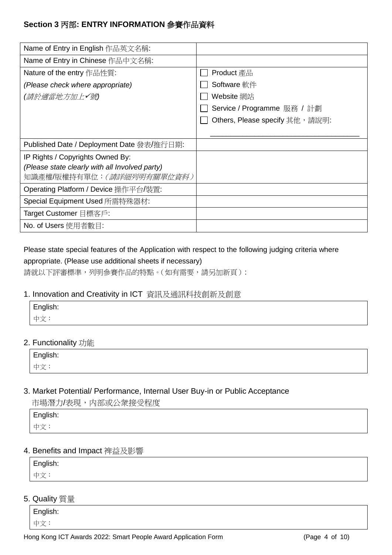# **Section 3** 丙部**: ENTRY INFORMATION** 參賽作品資料

| Name of Entry in English 作品英文名稱:               |                                 |
|------------------------------------------------|---------------------------------|
| Name of Entry in Chinese 作品中文名稱:               |                                 |
| Nature of the entry 作品性質:                      | Product 產品                      |
| (Please check where appropriate)               | Software 軟件                     |
| (請於適當地方加上✔號)                                   | Website 網站                      |
|                                                | Service / Programme 服務 / 計劃     |
|                                                | Others, Please specify 其他, 請說明: |
|                                                |                                 |
| Published Date / Deployment Date 發表/推行日期:      |                                 |
| IP Rights / Copyrights Owned By:               |                                 |
| (Please state clearly with all Involved party) |                                 |
| 知識產權/版權持有單位:(請詳細列明有關單位資料)                      |                                 |
| Operating Platform / Device 操作平台/裝置:           |                                 |
| Special Equipment Used 所需特殊器材:                 |                                 |
| Target Customer 目標客戶:                          |                                 |
| No. of Users 使用者數目:                            |                                 |

# Please state special features of the Application with respect to the following judging criteria where appropriate. (Please use additional sheets if necessary)

請就以下評審標準,列明參賽作品的特點。(如有需要,請另加新頁):

#### 1. Innovation and Creativity in ICT 資訊及通訊科技創新及創意

| English: |  |
|----------|--|
| 中文:      |  |

# 2. Functionality 功能

| English: |  |  |  |
|----------|--|--|--|
| 中文:      |  |  |  |

#### 3. Market Potential/ Performance, Internal User Buy-in or Public Acceptance

市場潛力/表現,内部或公衆接受程度

| English: |  |  |  |
|----------|--|--|--|
| 中文:      |  |  |  |

#### 4. Benefits and Impact 裨益及影響

| English: |  |  |
|----------|--|--|
| 中文:      |  |  |

#### 5. Quality 質量

English: 中文: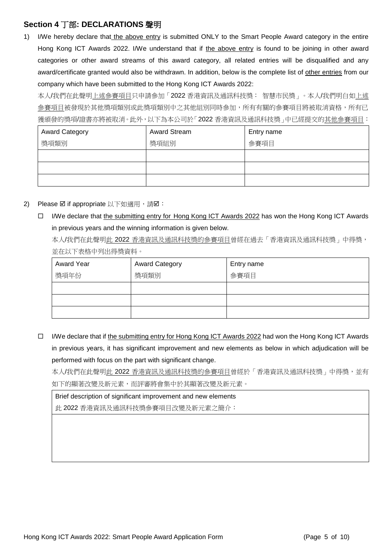# **Section 4** 丁部**: DECLARATIONS** 聲明

1) I/We hereby declare that the above entry is submitted ONLY to the Smart People Award category in the entire Hong Kong ICT Awards 2022. I/We understand that if the above entry is found to be joining in other award categories or other award streams of this award category, all related entries will be disqualified and any award/certificate granted would also be withdrawn. In addition, below is the complete list of other entries from our company which have been submitted to the Hong Kong ICT Awards 2022:

本人/我們在此聲明上述參賽項目只申請參加「2022 香港資訊及通訊科技獎: 智慧市民獎」。本人/我們明白如上述 參賽項目被發現於其他獎項類別或此獎項類別中之其他組別同時參加,所有有關的參賽項目將被取消資格,所有已 獲頒發的獎項/證書亦將被取消。此外,以下為本公司於「2022 香港資訊及通訊科技獎」中已經提交的其他參賽項目:

| <b>Award Category</b> | <b>Award Stream</b> | Entry name |
|-----------------------|---------------------|------------|
| 獎項類別                  | 獎項組別                | 參賽項目       |
|                       |                     |            |
|                       |                     |            |
|                       |                     |            |

#### 2) Please  $\boxtimes$  if appropriate 以下如適用,請 $\boxtimes$ :

□ I/We declare that the submitting entry for Hong Kong ICT Awards 2022 has won the Hong Kong ICT Awards in previous years and the winning information is given below.

本人/我們在此聲明此 2022 香港資訊及通訊科技獎的參賽項目曾經在過去「香港資訊及通訊科技獎」中得獎, 並在以下表格中列出得獎資料。

| <b>Award Year</b> | <b>Award Category</b> | Entry name |
|-------------------|-----------------------|------------|
| 獎項年份              | 獎項類別                  | 參賽項目       |
|                   |                       |            |
|                   |                       |            |
|                   |                       |            |

 $\Box$  I/We declare that if the submitting entry for Hong Kong ICT Awards 2022 had won the Hong Kong ICT Awards in previous years, it has significant improvement and new elements as below in which adjudication will be performed with focus on the part with significant change.

本人/我們在此聲明此 2022 香港資訊及通訊科技獎的參賽項目曾經於「香港資訊及通訊科技獎」中得獎,並有 如下的顯著改變及新元素,而評審將會集中於其顯著改變及新元素。

Brief description of significant improvement and new elements

此 2022 香港資訊及通訊科技獎參賽項目改變及新元素之簡介: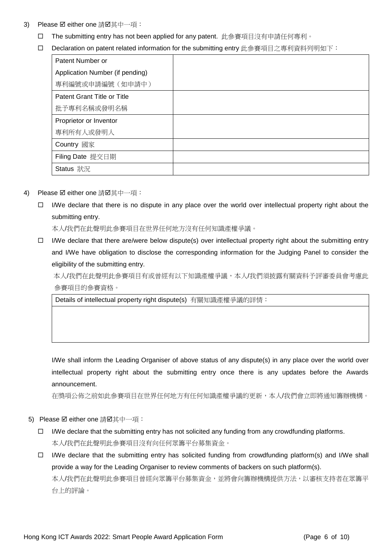- 3) Please ☑ either one 請☑其中一項:
	- □ The submitting entry has not been applied for any patent. 此參賽項目沒有申請任何專利。
	- □ Declaration on patent related information for the submitting entry 此參賽項目之專利資料列明如下:

| Patent Number or                |  |
|---------------------------------|--|
| Application Number (if pending) |  |
| 專利編號或申請編號 (如申請中)                |  |
| Patent Grant Title or Title     |  |
| 批予專利名稱或發明名稱                     |  |
| Proprietor or Inventor          |  |
| 專利所有人或發明人                       |  |
| Country 國家                      |  |
| Filing Date 提交日期                |  |
| Status 狀況                       |  |

- 4) Please Ø either one 請Ø其中一項:
	- $\Box$  I/We declare that there is no dispute in any place over the world over intellectual property right about the submitting entry.

本人/我們在此聲明此參賽項目在世界任何地方沒有任何知識產權爭議。

 $\Box$  I/We declare that there are/were below dispute(s) over intellectual property right about the submitting entry and I/We have obligation to disclose the corresponding information for the Judging Panel to consider the eligibility of the submitting entry.

本人/我們在此聲明此參賽項目有或曾經有以下知識產權爭議,本人/我們須披露有關資料予評審委員會考慮此 參賽項目的參賽資格。

Details of intellectual property right dispute(s) 有關知識產權爭議的詳情:

I/We shall inform the Leading Organiser of above status of any dispute(s) in any place over the world over intellectual property right about the submitting entry once there is any updates before the Awards announcement.

在獎項公佈之前如此參賽項目在世界任何地方有任何知識產權爭議的更新,本人/我們會立即將通知籌辦機構。

- 5) Please Ø either one 請Ø其中一項:
	- $\Box$  I/We declare that the submitting entry has not solicited any funding from any crowdfunding platforms. 本人/我們在此聲明此參賽項目沒有向任何眾籌平台募集資金。
	- $\Box$  I/We declare that the submitting entry has solicited funding from crowdfunding platform(s) and I/We shall provide a way for the Leading Organiser to review comments of backers on such platform(s). 本人/我們在此聲明此參賽項目曾經向眾籌平台募集資金,並將會向籌辦機構提供方法,以審核支持者在眾籌平

台上的評論。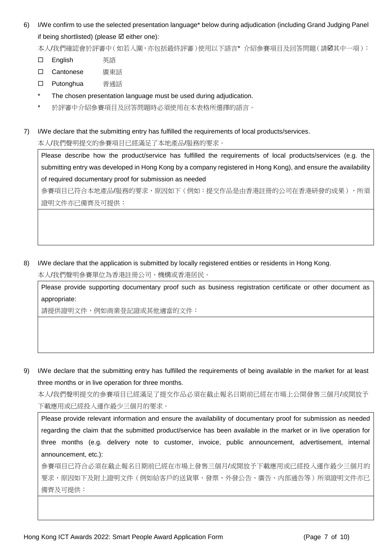6) I/We confirm to use the selected presentation language\* below during adjudication (including Grand Judging Panel if being shortlisted) (please  $\boxtimes$  either one):

本人/我們確認會於評審中(如若入圍,亦包括最終評審)使用以下語言\* 介紹參賽項目及回答問題(請Ø其中一項):

- English 英語
- Cantonese 廣東話
- Putonghua 普通話
- \* The chosen presentation language must be used during adjudication.
- \* 於評審中介紹參賽項目及回答問題時必須使用在本表格所選擇的語言。

7) I/We declare that the submitting entry has fulfilled the requirements of local products/services.

本人/我們聲明提交的參賽項目已經滿足了本地產品/服務的要求。

Please describe how the product/service has fulfilled the requirements of local products/services (e.g. the submitting entry was developed in Hong Kong by a company registered in Hong Kong), and ensure the availability of required documentary proof for submission as needed

參賽項目已符合本地產品/服務的要求,原因如下(例如:提交作品是由香港註冊的公司在香港研發的成果),所須 證明文件亦已備齊及可提供:

8) I/We declare that the application is submitted by locally registered entities or residents in Hong Kong.

本人/我們聲明參賽單位為香港註冊公司、機構或香港居民。

Please provide supporting documentary proof such as business registration certificate or other document as appropriate:

請提供證明文件,例如商業登記證或其他適當的文件:

9) I/We declare that the submitting entry has fulfilled the requirements of being available in the market for at least three months or in live operation for three months.

本人/我們聲明提交的參賽項目已經滿足了提交作品必須在截止報名日期前已經在市場上公開發售三個月/或開放予 下載應用或已經投入運作最少三個月的要求。

Please provide relevant information and ensure the availability of documentary proof for submission as needed regarding the claim that the submitted product/service has been available in the market or in live operation for three months (e.g. delivery note to customer, invoice, public announcement, advertisement, internal announcement, etc.):

參賽項目已符合必須在截止報名日期前已經在市場上發售三個月/或開放予下載應用或已經投入運作最少三個月的 要求,原因如下及附上證明文件(例如給客戶的送貨單、發票、外發公告、廣告、内部通告等)所須證明文件亦已 備齊及可提供: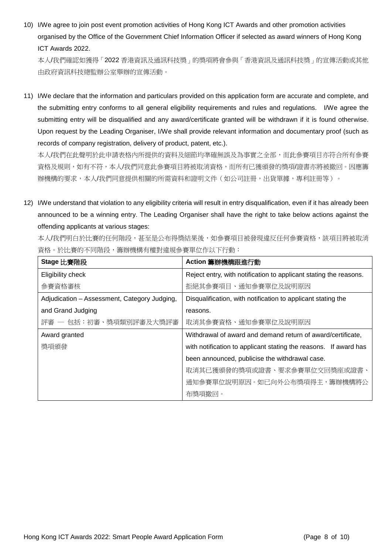10) I/We agree to join post event promotion activities of Hong Kong ICT Awards and other promotion activities organised by the Office of the Government Chief Information Officer if selected as award winners of Hong Kong ICT Awards 2022.

本人/我們確認如獲得「2022 香港資訊及通訊科技獎」的獎項將會參與「香港資訊及通訊科技獎」的宣傳活動或其他 由政府資訊科技總監辦公室舉辦的宣傳活動。

11) I/We declare that the information and particulars provided on this application form are accurate and complete, and the submitting entry conforms to all general eligibility requirements and rules and regulations. I/We agree the submitting entry will be disqualified and any award/certificate granted will be withdrawn if it is found otherwise. Upon request by the Leading Organiser, I/We shall provide relevant information and documentary proof (such as records of company registration, delivery of product, patent, etc.).

本人/我們在此聲明於此申請表格內所提供的資料及細節均準確無誤及為事實之全部,而此參賽項目亦符合所有參賽 資格及規則,如有不符,本人/我們同意此參賽項目將被取消資格,而所有已獲頒發的獎項/證書亦將被撤回。因應籌 辦機構的要求,本人/我們同意提供相關的所需資料和證明文件(如公司註冊,出貨單據,專利註冊等)。

12) I/We understand that violation to any eligibility criteria will result in entry disqualification, even if it has already been announced to be a winning entry. The Leading Organiser shall have the right to take below actions against the offending applicants at various stages:

本人/我們明白於比賽的任何階段,甚至是公布得獎結果後,如參賽項目被發現違反任何參賽資格,該項目將被取消 資格。於比賽的不同階段,籌辦機構有權對違規參賽單位作以下行動:

| Stage 比賽階段                                   | Action 籌辦機構跟進行動                                                   |
|----------------------------------------------|-------------------------------------------------------------------|
| Eligibility check                            | Reject entry, with notification to applicant stating the reasons. |
| 參賽資格審核                                       | 拒絕其參賽項目、通知參賽單位及說明原因                                               |
| Adjudication - Assessment, Category Judging, | Disqualification, with notification to applicant stating the      |
| and Grand Judging                            | reasons.                                                          |
| 評審 ― 包括:初審、獎項類別評審及大獎評審                       | 取消其參賽資格、通知參賽單位及說明原因                                               |
| Award granted                                | Withdrawal of award and demand return of award/certificate,       |
| 獎項頒發                                         | with notification to applicant stating the reasons. If award has  |
|                                              | been announced, publicise the withdrawal case.                    |
|                                              | 取消其已獲頒發的獎項或證書、要求參賽單位交回獎座或證書、                                      |
|                                              | 通知參賽單位說明原因。如已向外公布獎項得主,籌辦機構將公                                      |
|                                              | 布獎項撤回。                                                            |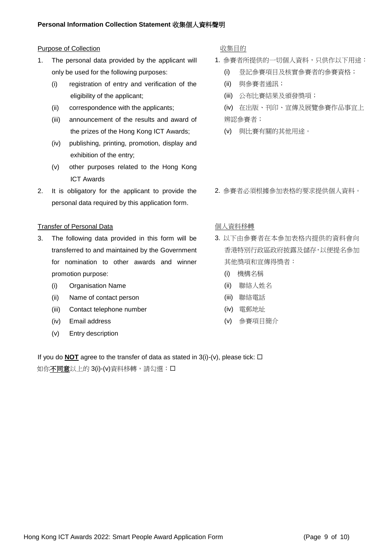#### Purpose of Collection **be a control by control collection** 收集目的

- 1. The personal data provided by the applicant will only be used for the following purposes:
	- (i) registration of entry and verification of the eligibility of the applicant;
	- (ii) correspondence with the applicants;
	- (iii) announcement of the results and award of the prizes of the Hong Kong ICT Awards;
	- (iv) publishing, printing, promotion, display and exhibition of the entry;
	- (v) other purposes related to the Hong Kong ICT Awards
- 2. It is obligatory for the applicant to provide the personal data required by this application form.

#### Transfer of Personal Data https://www.facebook.com/discrease/discrease/materials/

- 3. The following data provided in this form will be transferred to and maintained by the Government for nomination to other awards and winner promotion purpose:
	- (i) Organisation Name
	- (ii) Name of contact person
	- (iii) Contact telephone number
	- (iv) Email address
	- (v) Entry description

- 1. 參賽者所提供的一切個人資料,只供作以下用途:
	- (i) 登記參賽項目及核實參賽者的參賽資格;
	- (ii) 與參賽者通訊;
	- (iii) 公布比賽結果及頒發獎項;
	- (iv) 在出版、刊印、宣傳及展覽參賽作品事宜上 辨認參賽者;
	- (v) 與比賽有關的其他用途。
- 2. 參賽者必須根據參加表格的要求提供個人資料。

- 3. 以下由參賽者在本參加表格内提供的資料會向 香港特別行政區政府披露及儲存,以便提名參加 其他獎項和宣傳得獎者:
	- (i) 機構名稱
	- (ii) 聯絡人姓名
	- (iii) 聯絡電話
	- (iv) 電郵地址
	- (v) 參賽項目簡介

If you do **NOT** agree to the transfer of data as stated in  $3(i)-(v)$ , please tick:  $\Box$ 如你不同意以上的 3(i)-(v)資料移轉,請勾選: 口